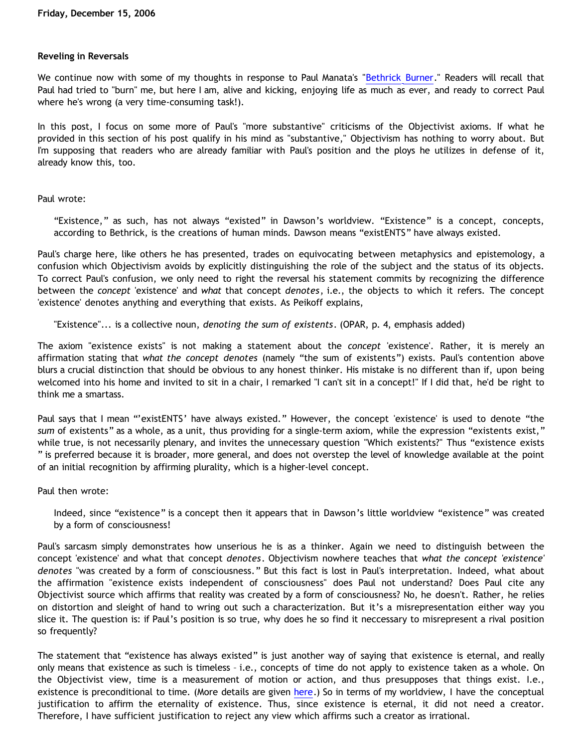# **Reveling in Reversals**

We continue now with some of my thoughts in response to Paul Manata's "[Bethrick Burner.](http://triablogue.blogspot.com/2006/11/bethrick-burner.html)" Readers will recall that Paul had tried to "burn" me, but here I am, alive and kicking, enjoying life as much as ever, and ready to correct Paul where he's wrong (a very time-consuming task!).

In this post, I focus on some more of Paul's "more substantive" criticisms of the Objectivist axioms. If what he provided in this section of his post qualify in his mind as "substantive," Objectivism has nothing to worry about. But I'm supposing that readers who are already familiar with Paul's position and the ploys he utilizes in defense of it, already know this, too.

## Paul wrote:

"Existence," as such, has not always "existed" in Dawson's worldview. "Existence" is a concept, concepts, according to Bethrick, is the creations of human minds. Dawson means "existENTS" have always existed.

Paul's charge here, like others he has presented, trades on equivocating between metaphysics and epistemology, a confusion which Objectivism avoids by explicitly distinguishing the role of the subject and the status of its objects. To correct Paul's confusion, we only need to right the reversal his statement commits by recognizing the difference between the *concept* 'existence' and *what* that concept *denotes*, i.e., the objects to which it refers. The concept 'existence' denotes anything and everything that exists. As Peikoff explains,

"Existence"... is a collective noun, *denoting the sum of existents*. (OPAR, p. 4, emphasis added)

The axiom "existence exists" is not making a statement about the *concept* 'existence'. Rather, it is merely an affirmation stating that *what the concept denotes* (namely "the sum of existents") exists. Paul's contention above blurs a crucial distinction that should be obvious to any honest thinker. His mistake is no different than if, upon being welcomed into his home and invited to sit in a chair, I remarked "I can't sit in a concept!" If I did that, he'd be right to think me a smartass.

Paul says that I mean "'existENTS' have always existed." However, the concept 'existence' is used to denote "the *sum* of existents" as a whole, as a unit, thus providing for a single-term axiom, while the expression "existents exist," while true, is not necessarily plenary, and invites the unnecessary question "Which existents?" Thus "existence exists " is preferred because it is broader, more general, and does not overstep the level of knowledge available at the point of an initial recognition by affirming plurality, which is a higher-level concept.

Paul then wrote:

Indeed, since "existence" is a concept then it appears that in Dawson's little worldview "existence" was created by a form of consciousness!

Paul's sarcasm simply demonstrates how unserious he is as a thinker. Again we need to distinguish between the concept 'existence' and what that concept *denotes*. Objectivism nowhere teaches that *what the concept 'existence' denotes* "was created by a form of consciousness." But this fact is lost in Paul's interpretation. Indeed, what about the affirmation "existence exists independent of consciousness" does Paul not understand? Does Paul cite any Objectivist source which affirms that reality was created by a form of consciousness? No, he doesn't. Rather, he relies on distortion and sleight of hand to wring out such a characterization. But it's a misrepresentation either way you slice it. The question is: if Paul's position is so true, why does he so find it neccessary to misrepresent a rival position so frequently?

The statement that "existence has always existed" is just another way of saying that existence is eternal, and really only means that existence as such is timeless – i.e., concepts of time do not apply to existence taken as a whole. On the Objectivist view, time is a measurement of motion or action, and thus presupposes that things exist. I.e., existence is preconditional to time. (More details are given [here](http://bahnsenburner.blogspot.com/2006/07/responding-to-chris.html).) So in terms of my worldview, I have the conceptual justification to affirm the eternality of existence. Thus, since existence is eternal, it did not need a creator. Therefore, I have sufficient justification to reject any view which affirms such a creator as irrational.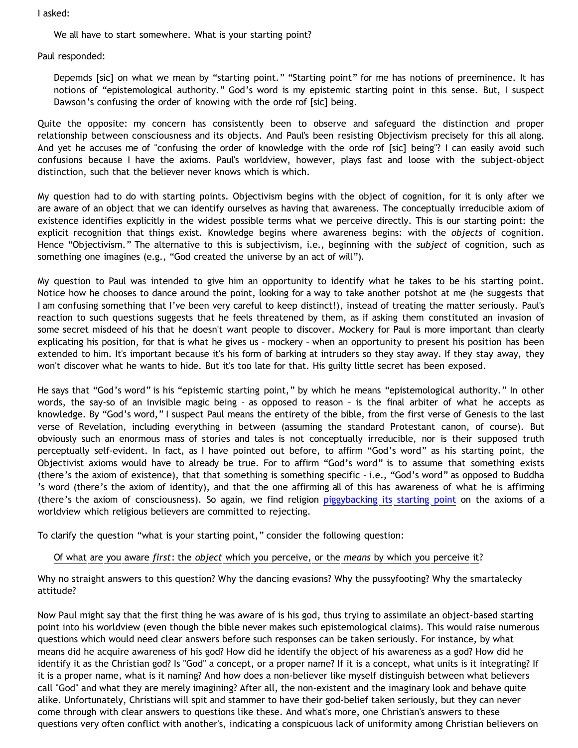I asked:

We all have to start somewhere. What is your starting point?

Paul responded:

Depemds [sic] on what we mean by "starting point." "Starting point" for me has notions of preeminence. It has notions of "epistemological authority." God's word is my epistemic starting point in this sense. But, I suspect Dawson's confusing the order of knowing with the orde rof [sic] being.

Quite the opposite: my concern has consistently been to observe and safeguard the distinction and proper relationship between consciousness and its objects. And Paul's been resisting Objectivism precisely for this all along. And yet he accuses me of "confusing the order of knowledge with the orde rof [sic] being"? I can easily avoid such confusions because I have the axioms. Paul's worldview, however, plays fast and loose with the subject-object distinction, such that the believer never knows which is which.

My question had to do with starting points. Objectivism begins with the object of cognition, for it is only after we are aware of an object that we can identify ourselves as having that awareness. The conceptually irreducible axiom of existence identifies explicitly in the widest possible terms what we perceive directly. This is our starting point: the explicit recognition that things exist. Knowledge begins where awareness begins: with the *objects* of cognition. Hence "Objectivism." The alternative to this is subjectivism, i.e., beginning with the *subject* of cognition, such as something one imagines (e.g., "God created the universe by an act of will").

My question to Paul was intended to give him an opportunity to identify what he takes to be his starting point. Notice how he chooses to dance around the point, looking for a way to take another potshot at me (he suggests that I am confusing something that I've been very careful to keep distinct!), instead of treating the matter seriously. Paul's reaction to such questions suggests that he feels threatened by them, as if asking them constituted an invasion of some secret misdeed of his that he doesn't want people to discover. Mockery for Paul is more important than clearly explicating his position, for that is what he gives us – mockery – when an opportunity to present his position has been extended to him. It's important because it's his form of barking at intruders so they stay away. If they stay away, they won't discover what he wants to hide. But it's too late for that. His guilty little secret has been exposed.

He says that "God's word" is his "epistemic starting point," by which he means "epistemological authority." In other words, the say-so of an invisible magic being – as opposed to reason – is the final arbiter of what he accepts as knowledge. By "God's word," I suspect Paul means the entirety of the bible, from the first verse of Genesis to the last verse of Revelation, including everything in between (assuming the standard Protestant canon, of course). But obviously such an enormous mass of stories and tales is not conceptually irreducible, nor is their supposed truth perceptually self-evident. In fact, as I have pointed out before, to affirm "God's word" as his starting point, the Objectivist axioms would have to already be true. For to affirm "God's word" is to assume that something exists (there's the axiom of existence), that that something is something specific – i.e., "God's word" as opposed to Buddha 's word (there's the axiom of identity), and that the one affirming all of this has awareness of what he is affirming (there's the axiom of consciousness). So again, we find religion [piggybacking its starting point](http://bahnsenburner.blogspot.com/2006/07/theism-and-its-piggyback-starting.html) on the axioms of a worldview which religious believers are committed to rejecting.

To clarify the question "what is your starting point," consider the following question:

## Of what are you aware *first*: the *object* which you perceive, or the *means* by which you perceive it?

Why no straight answers to this question? Why the dancing evasions? Why the pussyfooting? Why the smartalecky attitude?

Now Paul might say that the first thing he was aware of is his god, thus trying to assimilate an object-based starting point into his worldview (even though the bible never makes such epistemological claims). This would raise numerous questions which would need clear answers before such responses can be taken seriously. For instance, by what means did he acquire awareness of his god? How did he identify the object of his awareness as a god? How did he identify it as the Christian god? Is "God" a concept, or a proper name? If it is a concept, what units is it integrating? If it is a proper name, what is it naming? And how does a non-believer like myself distinguish between what believers call "God" and what they are merely imagining? After all, the non-existent and the imaginary look and behave quite alike. Unfortunately, Christians will spit and stammer to have their god-belief taken seriously, but they can never come through with clear answers to questions like these. And what's more, one Christian's answers to these questions very often conflict with another's, indicating a conspicuous lack of uniformity among Christian believers on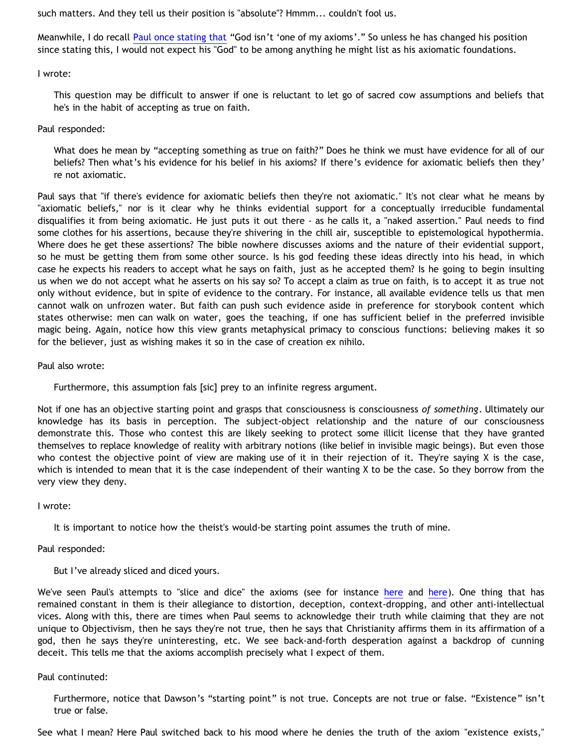such matters. And they tell us their position is "absolute"? Hmmm... couldn't fool us.

Meanwhile, I do recall [Paul once stating that](http://goosetheantithesis.blogspot.com/2006/02/question-of-day-24-efficacy.html) "God isn't 'one of my axioms'." So unless he has changed his position since stating this, I would not expect his "God" to be among anything he might list as his axiomatic foundations.

## I wrote:

This question may be difficult to answer if one is reluctant to let go of sacred cow assumptions and beliefs that he's in the habit of accepting as true on faith.

# Paul responded:

What does he mean by "accepting something as true on faith?" Does he think we must have evidence for all of our beliefs? Then what's his evidence for his belief in his axioms? If there's evidence for axiomatic beliefs then they' re not axiomatic.

Paul says that "if there's evidence for axiomatic beliefs then they're not axiomatic." It's not clear what he means by "axiomatic beliefs," nor is it clear why he thinks evidential support for a conceptually irreducible fundamental disqualifies it from being axiomatic. He just puts it out there - as he calls it, a "naked assertion." Paul needs to find some clothes for his assertions, because they're shivering in the chill air, susceptible to epistemological hypothermia. Where does he get these assertions? The bible nowhere discusses axioms and the nature of their evidential support, so he must be getting them from some other source. Is his god feeding these ideas directly into his head, in which case he expects his readers to accept what he says on faith, just as he accepted them? Is he going to begin insulting us when we do not accept what he asserts on his say so? To accept a claim as true on faith, is to accept it as true not only without evidence, but in spite of evidence to the contrary. For instance, all available evidence tells us that men cannot walk on unfrozen water. But faith can push such evidence aside in preference for storybook content which states otherwise: men can walk on water, goes the teaching, if one has sufficient belief in the preferred invisible magic being. Again, notice how this view grants metaphysical primacy to conscious functions: believing makes it so for the believer, just as wishing makes it so in the case of creation ex nihilo.

# Paul also wrote:

Furthermore, this assumption fals [sic] prey to an infinite regress argument.

Not if one has an objective starting point and grasps that consciousness is consciousness *of something*. Ultimately our knowledge has its basis in perception. The subject-object relationship and the nature of our consciousness demonstrate this. Those who contest this are likely seeking to protect some illicit license that they have granted themselves to replace knowledge of reality with arbitrary notions (like belief in invisible magic beings). But even those who contest the objective point of view are making use of it in their rejection of it. They're saying X is the case, which is intended to mean that it is the case independent of their wanting X to be the case. So they borrow from the very view they deny.

# I wrote:

It is important to notice how the theist's would-be starting point assumes the truth of mine.

# Paul responded:

But I've already sliced and diced yours.

We've seen Paul's attempts to "slice and dice" the axioms (see for instance [here](http://bahnsenburner.blogspot.com/2005/10/probing-mr-manatas-poor-understanding.html) and [here\)](http://bahnsenburner.blogspot.com/2006/12/axioms-and-primacy-of-existence.html). One thing that has remained constant in them is their allegiance to distortion, deception, context-dropping, and other anti-intellectual vices. Along with this, there are times when Paul seems to acknowledge their truth while claiming that they are not unique to Objectivism, then he says they're not true, then he says that Christianity affirms them in its affirmation of a god, then he says they're uninteresting, etc. We see back-and-forth desperation against a backdrop of cunning deceit. This tells me that the axioms accomplish precisely what I expect of them.

## Paul continuted:

Furthermore, notice that Dawson's "starting point" is not true. Concepts are not true or false. "Existence" isn't true or false.

See what I mean? Here Paul switched back to his mood where he denies the truth of the axiom "existence exists,"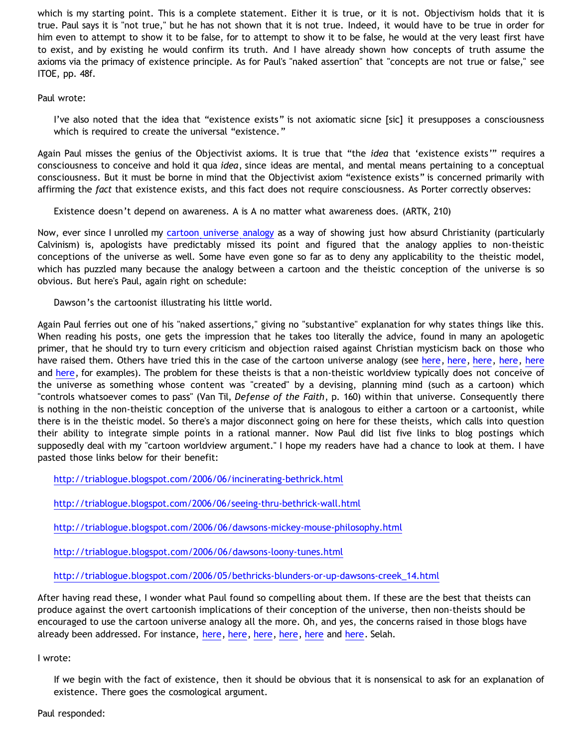which is my starting point. This is a complete statement. Either it is true, or it is not. Objectivism holds that it is true. Paul says it is "not true," but he has not shown that it is not true. Indeed, it would have to be true in order for him even to attempt to show it to be false, for to attempt to show it to be false, he would at the very least first have to exist, and by existing he would confirm its truth. And I have already shown how concepts of truth assume the axioms via the primacy of existence principle. As for Paul's "naked assertion" that "concepts are not true or false," see ITOE, pp. 48f.

## Paul wrote:

I've also noted that the idea that "existence exists" is not axiomatic sicne [sic] it presupposes a consciousness which is required to create the universal "existence."

Again Paul misses the genius of the Objectivist axioms. It is true that "the *idea* that 'existence exists'" requires a consciousness to conceive and hold it qua *idea*, since ideas are mental, and mental means pertaining to a conceptual consciousness. But it must be borne in mind that the Objectivist axiom "existence exists" is concerned primarily with affirming the *fact* that existence exists, and this fact does not require consciousness. As Porter correctly observes:

Existence doesn't depend on awareness. A is A no matter what awareness does. (ARTK, 210)

Now, ever since I unrolled my [cartoon universe analogy](http://www.strongatheism.net/library/atheology/cartoon_universe_of_theism/) as a way of showing just how absurd Christianity (particularly Calvinism) is, apologists have predictably missed its point and figured that the analogy applies to non-theistic conceptions of the universe as well. Some have even gone so far as to deny any applicability to the theistic model, which has puzzled many because the analogy between a cartoon and the theistic conception of the universe is so obvious. But here's Paul, again right on schedule:

Dawson's the cartoonist illustrating his little world.

Again Paul ferries out one of his "naked assertions," giving no "substantive" explanation for why states things like this. When reading his posts, one gets the impression that he takes too literally the advice, found in many an apologetic primer, that he should try to turn every criticism and objection raised against Christian mysticism back on those who have raised them. Others have tried this in the case of the cartoon universe analogy (see [here,](http://bahnsenburner.blogspot.com/2006/07/see-i-told-you-so.html) [here](http://bahnsenburner.blogspot.com/2006/07/metaphysical-subjectivism-and.html), here, here, here, here and [here,](http://bahnsenburner.blogspot.com/2006/07/metaphysical-subjectivism-and_06.html) for examples). The problem for these theists is that a non-theistic worldview typically does not conceive of the universe as something whose content was "created" by a devising, planning mind (such as a cartoon) which "controls whatsoever comes to pass" (Van Til, *Defense of the Faith*, p. 160) within that universe. Consequently there is nothing in the non-theistic conception of the universe that is analogous to either a cartoon or a cartoonist, while there is in the theistic model. So there's a major disconnect going on here for these theists, which calls into question their ability to integrate simple points in a rational manner. Now Paul did list five links to blog postings which supposedly deal with my "cartoon worldview argument." I hope my readers have had a chance to look at them. I have pasted those links below for their benefit:

<http://triablogue.blogspot.com/2006/06/incinerating-bethrick.html>

<http://triablogue.blogspot.com/2006/06/seeing-thru-bethrick-wall.html>

<http://triablogue.blogspot.com/2006/06/dawsons-mickey-mouse-philosophy.html>

<http://triablogue.blogspot.com/2006/06/dawsons-loony-tunes.html>

[http://triablogue.blogspot.com/2006/05/bethricks-blunders-or-up-dawsons-creek\\_14.html](http://triablogue.blogspot.com/2006/05/bethricks-blunders-or-up-dawsons-creek_14.html)

After having read these, I wonder what Paul found so compelling about them. If these are the best that theists can produce against the overt cartoonish implications of their conception of the universe, then non-theists should be encouraged to use the cartoon universe analogy all the more. Oh, and yes, the concerns raised in those blogs have already been addressed. For instance, [here](http://bahnsenburner.blogspot.com/2006/06/hays-on-cartoon-universe-premise-of.html), [here](http://bahnsenburner.blogspot.com/2006/06/steves-hays-ty-reaction-to-cartoon.html), [here](http://bahnsenburner.blogspot.com/2006/06/steves-persisting-haysiness.html), [here,](http://bahnsenburner.blogspot.com/2006/07/see-i-told-you-so.html) [here](http://bahnsenburner.blogspot.com/2006/07/metaphysical-subjectivism-and.html) and [here](http://bahnsenburner.blogspot.com/2006/07/metaphysical-subjectivism-and_06.html). Selah.

I wrote:

If we begin with the fact of existence, then it should be obvious that it is nonsensical to ask for an explanation of existence. There goes the cosmological argument.

Paul responded: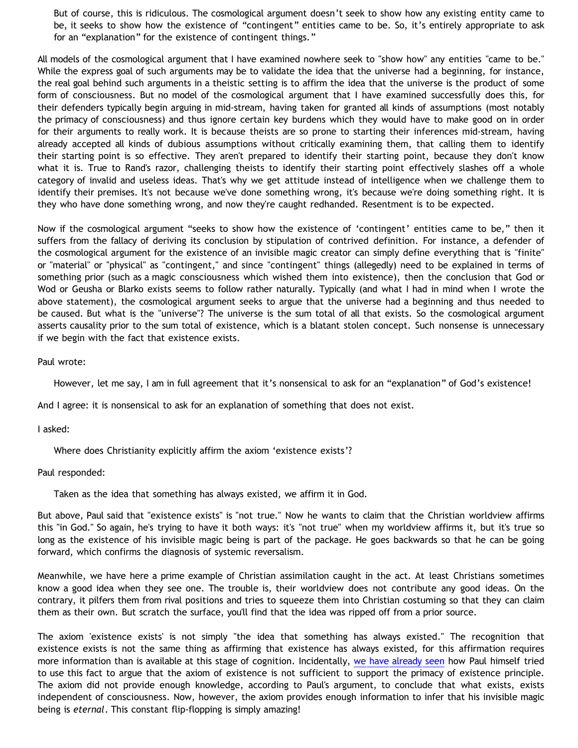But of course, this is ridiculous. The cosmological argument doesn't seek to show how any existing entity came to be, it seeks to show how the existence of "contingent" entities came to be. So, it's entirely appropriate to ask for an "explanation" for the existence of contingent things."

All models of the cosmological argument that I have examined nowhere seek to "show how" any entities "came to be." While the express goal of such arguments may be to validate the idea that the universe had a beginning, for instance, the real goal behind such arguments in a theistic setting is to affirm the idea that the universe is the product of some form of consciousness. But no model of the cosmological argument that I have examined successfully does this, for their defenders typically begin arguing in mid-stream, having taken for granted all kinds of assumptions (most notably the primacy of consciousness) and thus ignore certain key burdens which they would have to make good on in order for their arguments to really work. It is because theists are so prone to starting their inferences mid-stream, having already accepted all kinds of dubious assumptions without critically examining them, that calling them to identify their starting point is so effective. They aren't prepared to identify their starting point, because they don't know what it is. True to Rand's razor, challenging theists to identify their starting point effectively slashes off a whole category of invalid and useless ideas. That's why we get attitude instead of intelligence when we challenge them to identify their premises. It's not because we've done something wrong, it's because we're doing something right. It is they who have done something wrong, and now they're caught redhanded. Resentment is to be expected.

Now if the cosmological argument "seeks to show how the existence of 'contingent' entities came to be," then it suffers from the fallacy of deriving its conclusion by stipulation of contrived definition. For instance, a defender of the cosmological argument for the existence of an invisible magic creator can simply define everything that is "finite" or "material" or "physical" as "contingent," and since "contingent" things (allegedly) need to be explained in terms of something prior (such as a magic consciousness which wished them into existence), then the conclusion that God or Wod or Geusha or Blarko exists seems to follow rather naturally. Typically (and what I had in mind when I wrote the above statement), the cosmological argument seeks to argue that the universe had a beginning and thus needed to be caused. But what is the "universe"? The universe is the sum total of all that exists. So the cosmological argument asserts causality prior to the sum total of existence, which is a blatant stolen concept. Such nonsense is unnecessary if we begin with the fact that existence exists.

### Paul wrote:

However, let me say, I am in full agreement that it's nonsensical to ask for an "explanation" of God's existence!

And I agree: it is nonsensical to ask for an explanation of something that does not exist.

#### I asked:

Where does Christianity explicitly affirm the axiom 'existence exists'?

#### Paul responded:

Taken as the idea that something has always existed, we affirm it in God.

But above, Paul said that "existence exists" is "not true." Now he wants to claim that the Christian worldview affirms this "in God." So again, he's trying to have it both ways: it's "not true" when my worldview affirms it, but it's true so long as the existence of his invisible magic being is part of the package. He goes backwards so that he can be going forward, which confirms the diagnosis of systemic reversalism.

Meanwhile, we have here a prime example of Christian assimilation caught in the act. At least Christians sometimes know a good idea when they see one. The trouble is, their worldview does not contribute any good ideas. On the contrary, it pilfers them from rival positions and tries to squeeze them into Christian costuming so that they can claim them as their own. But scratch the surface, you'll find that the idea was ripped off from a prior source.

The axiom 'existence exists' is not simply "the idea that something has always existed." The recognition that existence exists is not the same thing as affirming that existence has always existed, for this affirmation requires more information than is available at this stage of cognition. Incidentally, [we have already seen](http://bahnsenburner.blogspot.com/2006/12/axioms-and-primacy-of-existence.html) how Paul himself tried to use this fact to argue that the axiom of existence is not sufficient to support the primacy of existence principle. The axiom did not provide enough knowledge, according to Paul's argument, to conclude that what exists, exists independent of consciousness. Now, however, the axiom provides enough information to infer that his invisible magic being is *eternal*. This constant flip-flopping is simply amazing!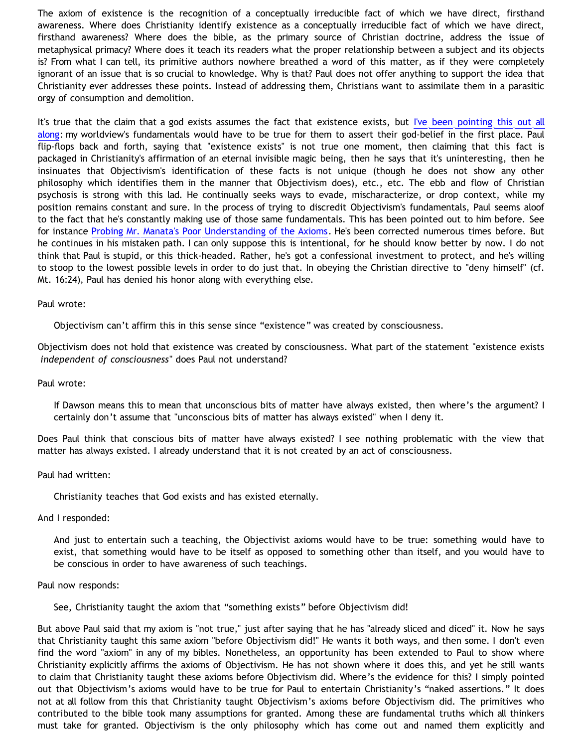The axiom of existence is the recognition of a conceptually irreducible fact of which we have direct, firsthand awareness. Where does Christianity identify existence as a conceptually irreducible fact of which we have direct, firsthand awareness? Where does the bible, as the primary source of Christian doctrine, address the issue of metaphysical primacy? Where does it teach its readers what the proper relationship between a subject and its objects is? From what I can tell, its primitive authors nowhere breathed a word of this matter, as if they were completely ignorant of an issue that is so crucial to knowledge. Why is that? Paul does not offer anything to support the idea that Christianity ever addresses these points. Instead of addressing them, Christians want to assimilate them in a parasitic orgy of consumption and demolition.

It's true that the claim that a god exists assumes the fact that existence exists, but [I've been pointing this out all](http://bahnsenburner.blogspot.com/2006/07/theism-and-its-piggyback-starting.html) [along](http://bahnsenburner.blogspot.com/2006/07/theism-and-its-piggyback-starting.html): my worldview's fundamentals would have to be true for them to assert their god-belief in the first place. Paul flip-flops back and forth, saying that "existence exists" is not true one moment, then claiming that this fact is packaged in Christianity's affirmation of an eternal invisible magic being, then he says that it's uninteresting, then he insinuates that Objectivism's identification of these facts is not unique (though he does not show any other philosophy which identifies them in the manner that Objectivism does), etc., etc. The ebb and flow of Christian psychosis is strong with this lad. He continually seeks ways to evade, mischaracterize, or drop context, while my position remains constant and sure. In the process of trying to discredit Objectivism's fundamentals, Paul seems aloof to the fact that he's constantly making use of those same fundamentals. This has been pointed out to him before. See for instance [Probing Mr. Manata's Poor Understanding of the Axioms.](http://bahnsenburner.blogspot.com/2005/10/probing-mr-manatas-poor-understanding.html) He's been corrected numerous times before. But he continues in his mistaken path. I can only suppose this is intentional, for he should know better by now. I do not think that Paul is stupid, or this thick-headed. Rather, he's got a confessional investment to protect, and he's willing to stoop to the lowest possible levels in order to do just that. In obeying the Christian directive to "deny himself" (cf. Mt. 16:24), Paul has denied his honor along with everything else.

### Paul wrote:

Objectivism can't affirm this in this sense since "existence" was created by consciousness.

Objectivism does not hold that existence was created by consciousness. What part of the statement "existence exists *independent of consciousness*" does Paul not understand?

#### Paul wrote:

If Dawson means this to mean that unconscious bits of matter have always existed, then where's the argument? I certainly don't assume that "unconscious bits of matter has always existed" when I deny it.

Does Paul think that conscious bits of matter have always existed? I see nothing problematic with the view that matter has always existed. I already understand that it is not created by an act of consciousness.

#### Paul had written:

Christianity teaches that God exists and has existed eternally.

#### And I responded:

And just to entertain such a teaching, the Objectivist axioms would have to be true: something would have to exist, that something would have to be itself as opposed to something other than itself, and you would have to be conscious in order to have awareness of such teachings.

#### Paul now responds:

See, Christianity taught the axiom that "something exists" before Objectivism did!

But above Paul said that my axiom is "not true," just after saying that he has "already sliced and diced" it. Now he says that Christianity taught this same axiom "before Objectivism did!" He wants it both ways, and then some. I don't even find the word "axiom" in any of my bibles. Nonetheless, an opportunity has been extended to Paul to show where Christianity explicitly affirms the axioms of Objectivism. He has not shown where it does this, and yet he still wants to claim that Christianity taught these axioms before Objectivism did. Where's the evidence for this? I simply pointed out that Objectivism's axioms would have to be true for Paul to entertain Christianity's "naked assertions." It does not at all follow from this that Christianity taught Objectivism's axioms before Objectivism did. The primitives who contributed to the bible took many assumptions for granted. Among these are fundamental truths which all thinkers must take for granted. Objectivism is the only philosophy which has come out and named them explicitly and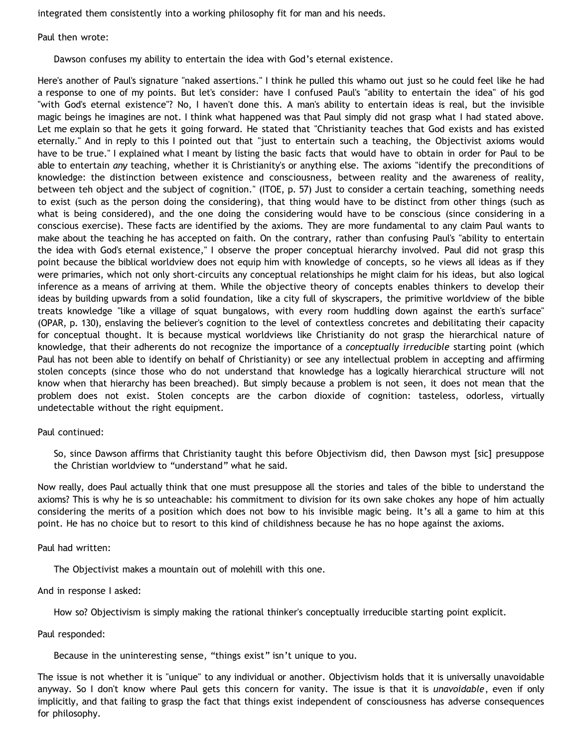integrated them consistently into a working philosophy fit for man and his needs.

Paul then wrote:

Dawson confuses my ability to entertain the idea with God's eternal existence.

Here's another of Paul's signature "naked assertions." I think he pulled this whamo out just so he could feel like he had a response to one of my points. But let's consider: have I confused Paul's "ability to entertain the idea" of his god "with God's eternal existence"? No, I haven't done this. A man's ability to entertain ideas is real, but the invisible magic beings he imagines are not. I think what happened was that Paul simply did not grasp what I had stated above. Let me explain so that he gets it going forward. He stated that "Christianity teaches that God exists and has existed eternally." And in reply to this I pointed out that "just to entertain such a teaching, the Objectivist axioms would have to be true." I explained what I meant by listing the basic facts that would have to obtain in order for Paul to be able to entertain *any* teaching, whether it is Christianity's or anything else. The axioms "identify the preconditions of knowledge: the distinction between existence and consciousness, between reality and the awareness of reality, between teh object and the subject of cognition." (ITOE, p. 57) Just to consider a certain teaching, something needs to exist (such as the person doing the considering), that thing would have to be distinct from other things (such as what is being considered), and the one doing the considering would have to be conscious (since considering in a conscious exercise). These facts are identified by the axioms. They are more fundamental to any claim Paul wants to make about the teaching he has accepted on faith. On the contrary, rather than confusing Paul's "ability to entertain the idea with God's eternal existence," I observe the proper conceptual hierarchy involved. Paul did not grasp this point because the biblical worldview does not equip him with knowledge of concepts, so he views all ideas as if they were primaries, which not only short-circuits any conceptual relationships he might claim for his ideas, but also logical inference as a means of arriving at them. While the objective theory of concepts enables thinkers to develop their ideas by building upwards from a solid foundation, like a city full of skyscrapers, the primitive worldview of the bible treats knowledge "like a village of squat bungalows, with every room huddling down against the earth's surface" (OPAR, p. 130), enslaving the believer's cognition to the level of contextless concretes and debilitating their capacity for conceptual thought. It is because mystical worldviews like Christianity do not grasp the hierarchical nature of knowledge, that their adherents do not recognize the importance of a *conceptually irreducible* starting point (which Paul has not been able to identify on behalf of Christianity) or see any intellectual problem in accepting and affirming stolen concepts (since those who do not understand that knowledge has a logically hierarchical structure will not know when that hierarchy has been breached). But simply because a problem is not seen, it does not mean that the problem does not exist. Stolen concepts are the carbon dioxide of cognition: tasteless, odorless, virtually undetectable without the right equipment.

Paul continued:

So, since Dawson affirms that Christianity taught this before Objectivism did, then Dawson myst [sic] presuppose the Christian worldview to "understand" what he said.

Now really, does Paul actually think that one must presuppose all the stories and tales of the bible to understand the axioms? This is why he is so unteachable: his commitment to division for its own sake chokes any hope of him actually considering the merits of a position which does not bow to his invisible magic being. It's all a game to him at this point. He has no choice but to resort to this kind of childishness because he has no hope against the axioms.

Paul had written:

The Objectivist makes a mountain out of molehill with this one.

And in response I asked:

How so? Objectivism is simply making the rational thinker's conceptually irreducible starting point explicit.

Paul responded:

Because in the uninteresting sense, "things exist" isn't unique to you.

The issue is not whether it is "unique" to any individual or another. Objectivism holds that it is universally unavoidable anyway. So I don't know where Paul gets this concern for vanity. The issue is that it is *unavoidable*, even if only implicitly, and that failing to grasp the fact that things exist independent of consciousness has adverse consequences for philosophy.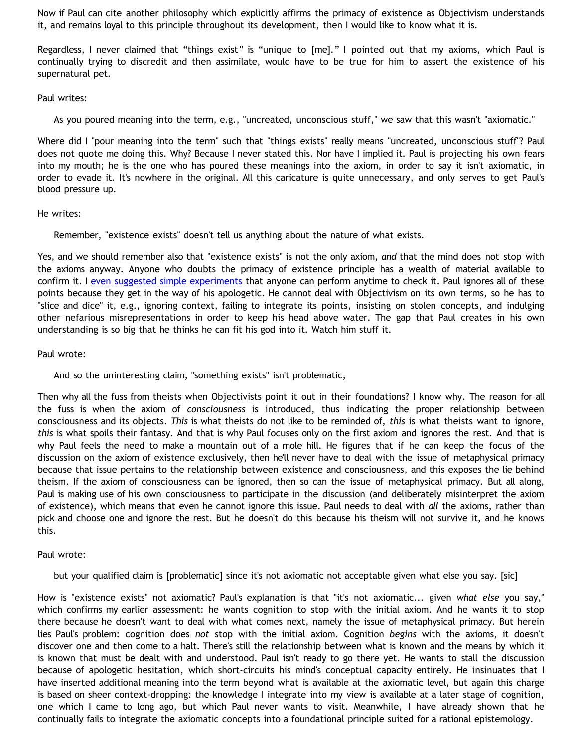Now if Paul can cite another philosophy which explicitly affirms the primacy of existence as Objectivism understands it, and remains loyal to this principle throughout its development, then I would like to know what it is.

Regardless, I never claimed that "things exist" is "unique to [me]." I pointed out that my axioms, which Paul is continually trying to discredit and then assimilate, would have to be true for him to assert the existence of his supernatural pet.

### Paul writes:

As you poured meaning into the term, e.g., "uncreated, unconscious stuff," we saw that this wasn't "axiomatic."

Where did I "pour meaning into the term" such that "things exists" really means "uncreated, unconscious stuff"? Paul does not quote me doing this. Why? Because I never stated this. Nor have I implied it. Paul is projecting his own fears into my mouth; he is the one who has poured these meanings into the axiom, in order to say it isn't axiomatic, in order to evade it. It's nowhere in the original. All this caricature is quite unnecessary, and only serves to get Paul's blood pressure up.

### He writes:

Remember, "existence exists" doesn't tell us anything about the nature of what exists.

Yes, and we should remember also that "existence exists" is not the only axiom, *and* that the mind does not stop with the axioms anyway. Anyone who doubts the primacy of existence principle has a wealth of material available to confirm it. I [even suggested simple experiments](http://bahnsenburner.blogspot.com/2006/12/axioms-and-primacy-of-existence.html) that anyone can perform anytime to check it. Paul ignores all of these points because they get in the way of his apologetic. He cannot deal with Objectivism on its own terms, so he has to "slice and dice" it, e.g., ignoring context, failing to integrate its points, insisting on stolen concepts, and indulging other nefarious misrepresentations in order to keep his head above water. The gap that Paul creates in his own understanding is so big that he thinks he can fit his god into it. Watch him stuff it.

## Paul wrote:

And so the uninteresting claim, "something exists" isn't problematic,

Then why all the fuss from theists when Objectivists point it out in their foundations? I know why. The reason for all the fuss is when the axiom of *consciousness* is introduced, thus indicating the proper relationship between consciousness and its objects. *This* is what theists do not like to be reminded of, *this* is what theists want to ignore, *this* is what spoils their fantasy. And that is why Paul focuses only on the first axiom and ignores the rest. And that is why Paul feels the need to make a mountain out of a mole hill. He figures that if he can keep the focus of the discussion on the axiom of existence exclusively, then he'll never have to deal with the issue of metaphysical primacy because that issue pertains to the relationship between existence and consciousness, and this exposes the lie behind theism. If the axiom of consciousness can be ignored, then so can the issue of metaphysical primacy. But all along, Paul is making use of his own consciousness to participate in the discussion (and deliberately misinterpret the axiom of existence), which means that even he cannot ignore this issue. Paul needs to deal with *all* the axioms, rather than pick and choose one and ignore the rest. But he doesn't do this because his theism will not survive it, and he knows this.

## Paul wrote:

but your qualified claim is [problematic] since it's not axiomatic not acceptable given what else you say. [sic]

How is "existence exists" not axiomatic? Paul's explanation is that "it's not axiomatic... given *what else* you say," which confirms my earlier assessment: he wants cognition to stop with the initial axiom. And he wants it to stop there because he doesn't want to deal with what comes next, namely the issue of metaphysical primacy. But herein lies Paul's problem: cognition does *not* stop with the initial axiom. Cognition *begins* with the axioms, it doesn't discover one and then come to a halt. There's still the relationship between what is known and the means by which it is known that must be dealt with and understood. Paul isn't ready to go there yet. He wants to stall the discussion because of apologetic hesitation, which short-circuits his mind's conceptual capacity entirely. He insinuates that I have inserted additional meaning into the term beyond what is available at the axiomatic level, but again this charge is based on sheer context-dropping: the knowledge I integrate into my view is available at a later stage of cognition, one which I came to long ago, but which Paul never wants to visit. Meanwhile, I have already shown that he continually fails to integrate the axiomatic concepts into a foundational principle suited for a rational epistemology.